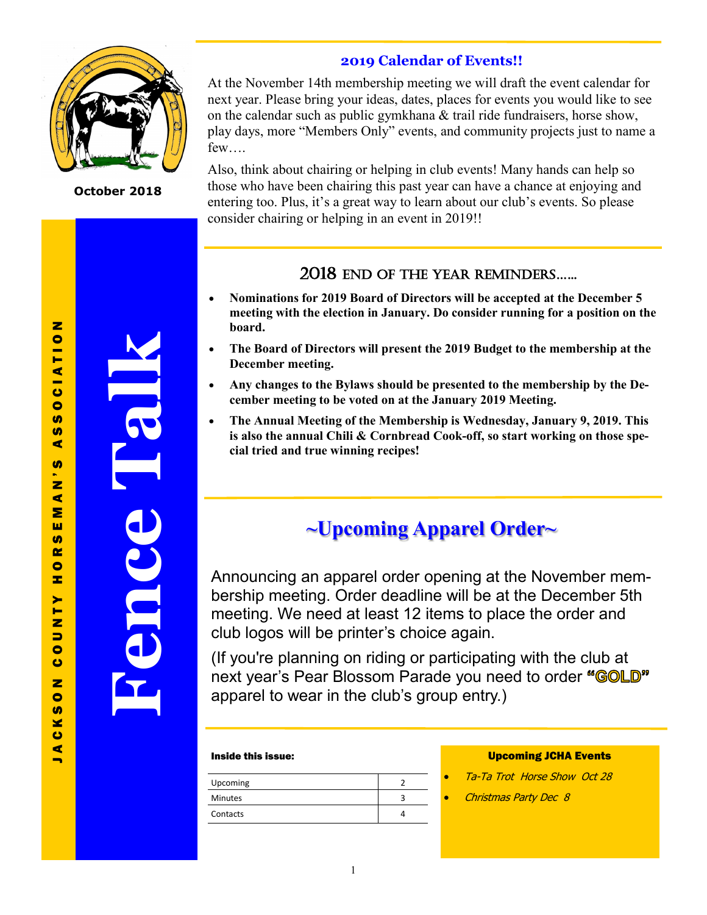

**October 2018**

**Fence Talk**

## **2019 Calendar of Events!!**

At the November 14th membership meeting we will draft the event calendar for next year. Please bring your ideas, dates, places for events you would like to see on the calendar such as public gymkhana  $\&$  trail ride fundraisers, horse show, play days, more "Members Only" events, and community projects just to name a few….

Also, think about chairing or helping in club events! Many hands can help so those who have been chairing this past year can have a chance at enjoying and entering too. Plus, it's a great way to learn about our club's events. So please consider chairing or helping in an event in 2019!!

## 2018 End of thE YEar rEMIndErS…...

- **Nominations for 2019 Board of Directors will be accepted at the December 5 meeting with the election in January. Do consider running for a position on the board.**
- **The Board of Directors will present the 2019 Budget to the membership at the December meeting.**
- **Any changes to the Bylaws should be presented to the membership by the December meeting to be voted on at the January 2019 Meeting.**
- **The Annual Meeting of the Membership is Wednesday, January 9, 2019. This is also the annual Chili & Cornbread Cook-off, so start working on those special tried and true winning recipes!**

# **~Upcoming Apparel Order~**

Announcing an apparel order opening at the November membership meeting. Order deadline will be at the December 5th meeting. We need at least 12 items to place the order and club logos will be printer's choice again.

(If you're planning on riding or participating with the club at next year's Pear Blossom Parade you need to order "GOLD" apparel to wear in the club's group entry.)

#### Inside this issue:

| Upcoming       |  |
|----------------|--|
| <b>Minutes</b> |  |
| Contacts       |  |
|                |  |

#### Upcoming JCHA Events

- Ta-Ta Trot Horse Show Oct 28
- Christmas Party Dec 8

 $\blacksquare$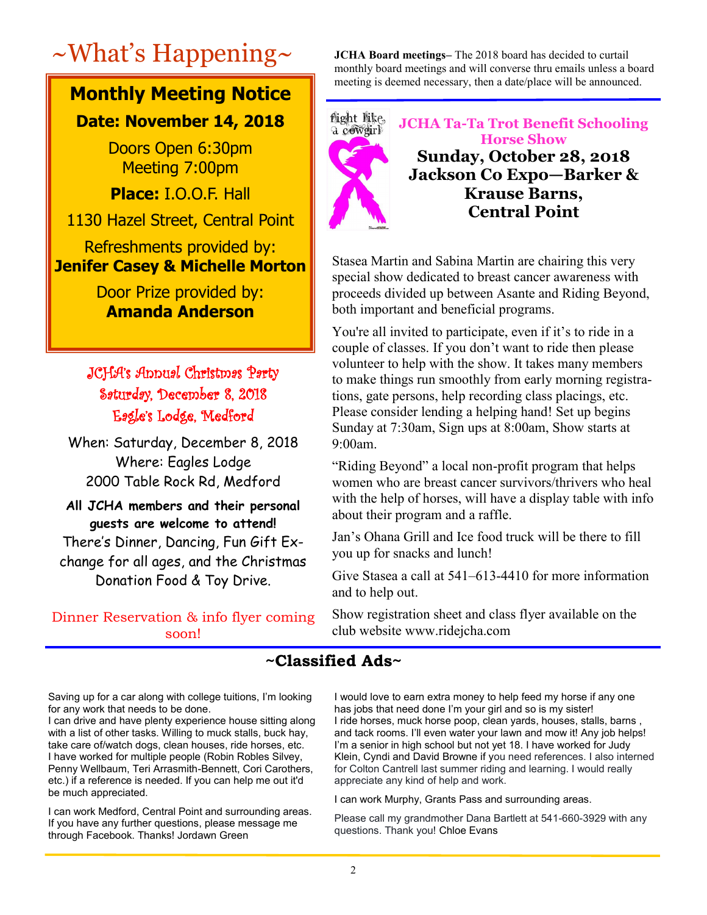# **Monthly Meeting Notice**

## **Date: November 14, 2018**

Doors Open 6:30pm Meeting 7:00pm

**Place:** I.O.O.F. Hall

1130 Hazel Street, Central Point

Refreshments provided by: **Jenifer Casey & Michelle Morton**

> Door Prize provided by: **Amanda Anderson**

## JCHA's Annual Christmas Party Saturday, December 8, 2018 Eagle's Lodge, Medford

When: Saturday, December 8, 2018 Where: Eagles Lodge 2000 Table Rock Rd, Medford

**All JCHA members and their personal guests are welcome to attend!** There's Dinner, Dancing, Fun Gift Ex-

change for all ages, and the Christmas Donation Food & Toy Drive.

Dinner Reservation & info flyer coming soon!

~What's Happening~ **JCHA Board meetings–** The 2018 board has decided to curtail monthly board meetings and will converse thru emails unless a board meeting is deemed necessary, then a date/place will be announced.



**JCHA Ta-Ta Trot Benefit Schooling Horse Show Sunday, October 28, 2018 Jackson Co Expo—Barker & Krause Barns, Central Point**

Stasea Martin and Sabina Martin are chairing this very special show dedicated to breast cancer awareness with proceeds divided up between Asante and Riding Beyond, both important and beneficial programs.

You're all invited to participate, even if it's to ride in a couple of classes. If you don't want to ride then please volunteer to help with the show. It takes many members to make things run smoothly from early morning registrations, gate persons, help recording class placings, etc. Please consider lending a helping hand! Set up begins Sunday at 7:30am, Sign ups at 8:00am, Show starts at 9:00am.

"Riding Beyond" a local non-profit program that helps women who are breast cancer survivors/thrivers who heal with the help of horses, will have a display table with info about their program and a raffle.

Jan's Ohana Grill and Ice food truck will be there to fill you up for snacks and lunch!

Give Stasea a call at 541–613-4410 for more information and to help out.

Show registration sheet and class flyer available on the club website www.ridejcha.com

## **~Classified Ads~**

Saving up for a car along with college tuitions, I'm looking for any work that needs to be done.

I can drive and have plenty experience house sitting along with a list of other tasks. Willing to muck stalls, buck hay, take care of/watch dogs, clean houses, ride horses, etc. I have worked for multiple people (Robin Robles Silvey, Penny Wellbaum, Teri Arrasmith-Bennett, Cori Carothers, etc.) if a reference is needed. If you can help me out it'd be much appreciated.

I can work Medford, Central Point and surrounding areas. If you have any further questions, please message me through Facebook. Thanks! Jordawn Green

I would love to earn extra money to help feed my horse if any one has jobs that need done I'm your girl and so is my sister! I ride horses, muck horse poop, clean yards, houses, stalls, barns , and tack rooms. I'll even water your lawn and mow it! Any job helps! I'm a senior in high school but not yet 18. I have worked for Judy Klein, Cyndi and David Browne if you need references. I also interned for Colton Cantrell last summer riding and learning. I would really appreciate any kind of help and work.

I can work Murphy, Grants Pass and surrounding areas.

Please call my grandmother Dana Bartlett at 541-660-3929 with any questions. Thank you! Chloe Evans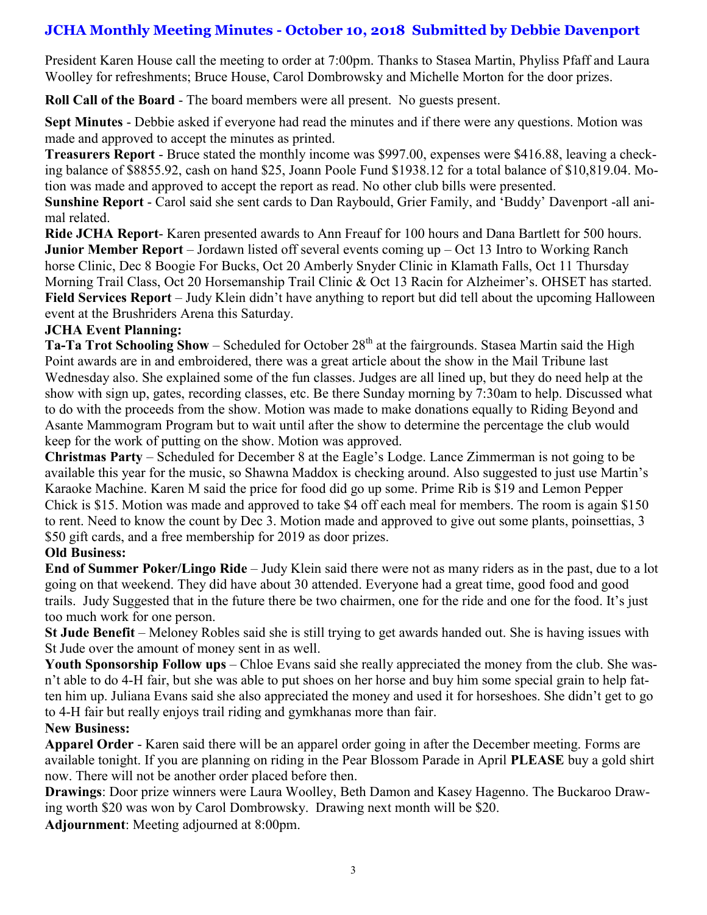## **JCHA Monthly Meeting Minutes - October 10, 2018 Submitted by Debbie Davenport**

President Karen House call the meeting to order at 7:00pm. Thanks to Stasea Martin, Phyliss Pfaff and Laura Woolley for refreshments; Bruce House, Carol Dombrowsky and Michelle Morton for the door prizes.

**Roll Call of the Board** - The board members were all present. No guests present.

**Sept Minutes** - Debbie asked if everyone had read the minutes and if there were any questions. Motion was made and approved to accept the minutes as printed.

**Treasurers Report** - Bruce stated the monthly income was \$997.00, expenses were \$416.88, leaving a checking balance of \$8855.92, cash on hand \$25, Joann Poole Fund \$1938.12 for a total balance of \$10,819.04. Motion was made and approved to accept the report as read. No other club bills were presented.

**Sunshine Report** - Carol said she sent cards to Dan Raybould, Grier Family, and 'Buddy' Davenport -all animal related.

**Ride JCHA Report**- Karen presented awards to Ann Freauf for 100 hours and Dana Bartlett for 500 hours. **Junior Member Report** – Jordawn listed off several events coming up – Oct 13 Intro to Working Ranch horse Clinic, Dec 8 Boogie For Bucks, Oct 20 Amberly Snyder Clinic in Klamath Falls, Oct 11 Thursday Morning Trail Class, Oct 20 Horsemanship Trail Clinic & Oct 13 Racin for Alzheimer's. OHSET has started. **Field Services Report** – Judy Klein didn't have anything to report but did tell about the upcoming Halloween event at the Brushriders Arena this Saturday.

### **JCHA Event Planning:**

**Ta-Ta Trot Schooling Show – Scheduled for October 28<sup>th</sup> at the fairgrounds. Stasea Martin said the High** Point awards are in and embroidered, there was a great article about the show in the Mail Tribune last Wednesday also. She explained some of the fun classes. Judges are all lined up, but they do need help at the show with sign up, gates, recording classes, etc. Be there Sunday morning by 7:30am to help. Discussed what to do with the proceeds from the show. Motion was made to make donations equally to Riding Beyond and Asante Mammogram Program but to wait until after the show to determine the percentage the club would keep for the work of putting on the show. Motion was approved.

**Christmas Party** – Scheduled for December 8 at the Eagle's Lodge. Lance Zimmerman is not going to be available this year for the music, so Shawna Maddox is checking around. Also suggested to just use Martin's Karaoke Machine. Karen M said the price for food did go up some. Prime Rib is \$19 and Lemon Pepper Chick is \$15. Motion was made and approved to take \$4 off each meal for members. The room is again \$150 to rent. Need to know the count by Dec 3. Motion made and approved to give out some plants, poinsettias, 3 \$50 gift cards, and a free membership for 2019 as door prizes.

#### **Old Business:**

**End of Summer Poker/Lingo Ride** – Judy Klein said there were not as many riders as in the past, due to a lot going on that weekend. They did have about 30 attended. Everyone had a great time, good food and good trails. Judy Suggested that in the future there be two chairmen, one for the ride and one for the food. It's just too much work for one person.

**St Jude Benefit** – Meloney Robles said she is still trying to get awards handed out. She is having issues with St Jude over the amount of money sent in as well.

**Youth Sponsorship Follow ups** – Chloe Evans said she really appreciated the money from the club. She wasn't able to do 4-H fair, but she was able to put shoes on her horse and buy him some special grain to help fatten him up. Juliana Evans said she also appreciated the money and used it for horseshoes. She didn't get to go to 4-H fair but really enjoys trail riding and gymkhanas more than fair.

#### **New Business:**

**Apparel Order** - Karen said there will be an apparel order going in after the December meeting. Forms are available tonight. If you are planning on riding in the Pear Blossom Parade in April **PLEASE** buy a gold shirt now. There will not be another order placed before then.

**Drawings**: Door prize winners were Laura Woolley, Beth Damon and Kasey Hagenno. The Buckaroo Drawing worth \$20 was won by Carol Dombrowsky. Drawing next month will be \$20.

**Adjournment**: Meeting adjourned at 8:00pm.